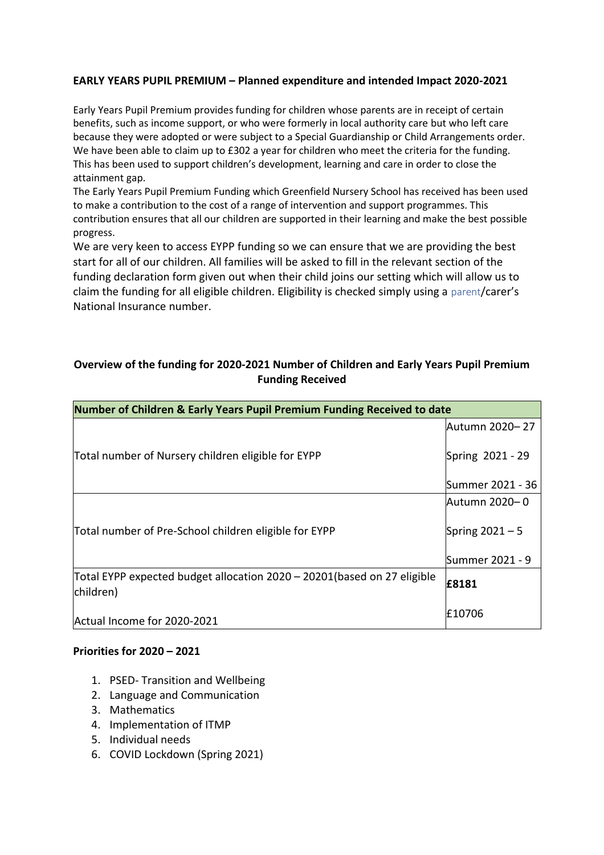## **EARLY YEARS PUPIL PREMIUM – Planned expenditure and intended Impact 2020-2021**

Early Years Pupil Premium provides funding for children whose parents are in receipt of certain benefits, such as income support, or who were formerly in local authority care but who left care because they were adopted or were subject to a Special Guardianship or Child Arrangements order. We have been able to claim up to £302 a year for children who meet the criteria for the funding. This has been used to support children's development, learning and care in order to close the attainment gap.

The Early Years Pupil Premium Funding which Greenfield Nursery School has received has been used to make a contribution to the cost of a range of intervention and support programmes. This contribution ensures that all our children are supported in their learning and make the best possible progress.

We are very keen to access EYPP funding so we can ensure that we are providing the best start for all of our children. All families will be asked to fill in the relevant section of the funding declaration form given out when their child joins our setting which will allow us to claim the funding for all eligible children. Eligibility is checked simply using a parent/carer's National Insurance number.

# **Overview of the funding for 2020-2021 Number of Children and Early Years Pupil Premium Funding Received**

| Number of Children & Early Years Pupil Premium Funding Received to date               |                   |
|---------------------------------------------------------------------------------------|-------------------|
|                                                                                       | Autumn 2020– 27   |
| Total number of Nursery children eligible for EYPP                                    | Spring 2021 - 29  |
|                                                                                       | Summer 2021 - 36  |
| Total number of Pre-School children eligible for EYPP                                 | Autumn 2020– 0    |
|                                                                                       | Spring $2021 - 5$ |
|                                                                                       | Summer 2021 - 9   |
| Total EYPP expected budget allocation 2020 – 20201 (based on 27 eligible<br>children) | £8181             |
| Actual Income for 2020-2021                                                           | £10706            |

#### **Priorities for 2020 – 2021**

- 1. PSED- Transition and Wellbeing
- 2. Language and Communication
- 3. Mathematics
- 4. Implementation of ITMP
- 5. Individual needs
- 6. COVID Lockdown (Spring 2021)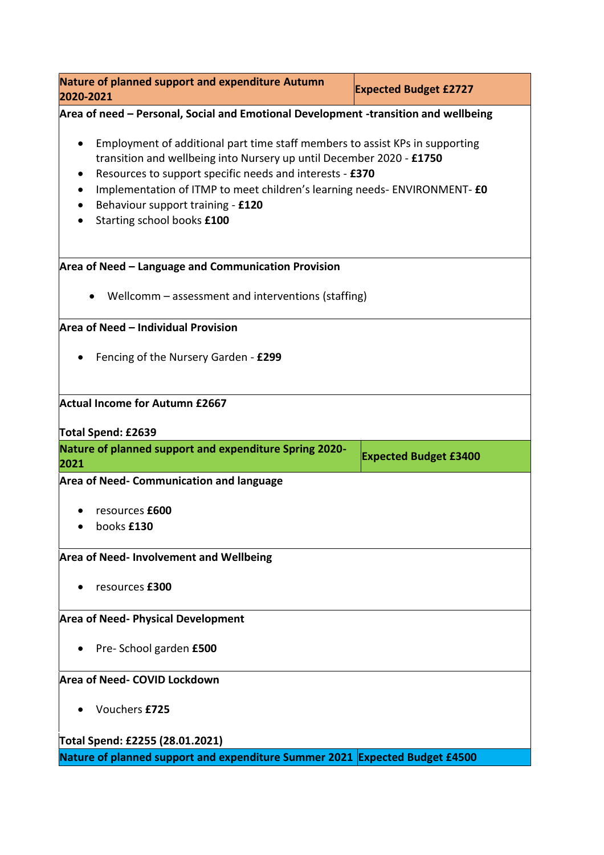| Nature of planned support and expenditure Autumn<br>2020-2021                                                                                                                                                                                                                                                                                                                              | <b>Expected Budget £2727</b> |  |
|--------------------------------------------------------------------------------------------------------------------------------------------------------------------------------------------------------------------------------------------------------------------------------------------------------------------------------------------------------------------------------------------|------------------------------|--|
| Area of need - Personal, Social and Emotional Development -transition and wellbeing                                                                                                                                                                                                                                                                                                        |                              |  |
| Employment of additional part time staff members to assist KPs in supporting<br>$\bullet$<br>transition and wellbeing into Nursery up until December 2020 - £1750<br>Resources to support specific needs and interests - £370<br>$\bullet$<br>Implementation of ITMP to meet children's learning needs- ENVIRONMENT- £0<br>Behaviour support training - £120<br>Starting school books £100 |                              |  |
| Area of Need - Language and Communication Provision                                                                                                                                                                                                                                                                                                                                        |                              |  |
| Wellcomm – assessment and interventions (staffing)                                                                                                                                                                                                                                                                                                                                         |                              |  |
| Area of Need - Individual Provision                                                                                                                                                                                                                                                                                                                                                        |                              |  |
| Fencing of the Nursery Garden - £299                                                                                                                                                                                                                                                                                                                                                       |                              |  |
| Actual Income for Autumn £2667<br>Total Spend: £2639                                                                                                                                                                                                                                                                                                                                       |                              |  |
| Nature of planned support and expenditure Spring 2020-<br>2021                                                                                                                                                                                                                                                                                                                             | <b>Expected Budget £3400</b> |  |
| <b>Area of Need- Communication and language</b>                                                                                                                                                                                                                                                                                                                                            |                              |  |
| resources £600<br>books £130                                                                                                                                                                                                                                                                                                                                                               |                              |  |
| <b>Area of Need-Involvement and Wellbeing</b>                                                                                                                                                                                                                                                                                                                                              |                              |  |
| resources £300                                                                                                                                                                                                                                                                                                                                                                             |                              |  |
| <b>Area of Need- Physical Development</b>                                                                                                                                                                                                                                                                                                                                                  |                              |  |
| Pre-School garden £500                                                                                                                                                                                                                                                                                                                                                                     |                              |  |
| Area of Need- COVID Lockdown                                                                                                                                                                                                                                                                                                                                                               |                              |  |
| Vouchers £725                                                                                                                                                                                                                                                                                                                                                                              |                              |  |
| Total Spend: £2255 (28.01.2021)                                                                                                                                                                                                                                                                                                                                                            |                              |  |
| Nature of planned support and expenditure Summer 2021 Expected Budget £4500                                                                                                                                                                                                                                                                                                                |                              |  |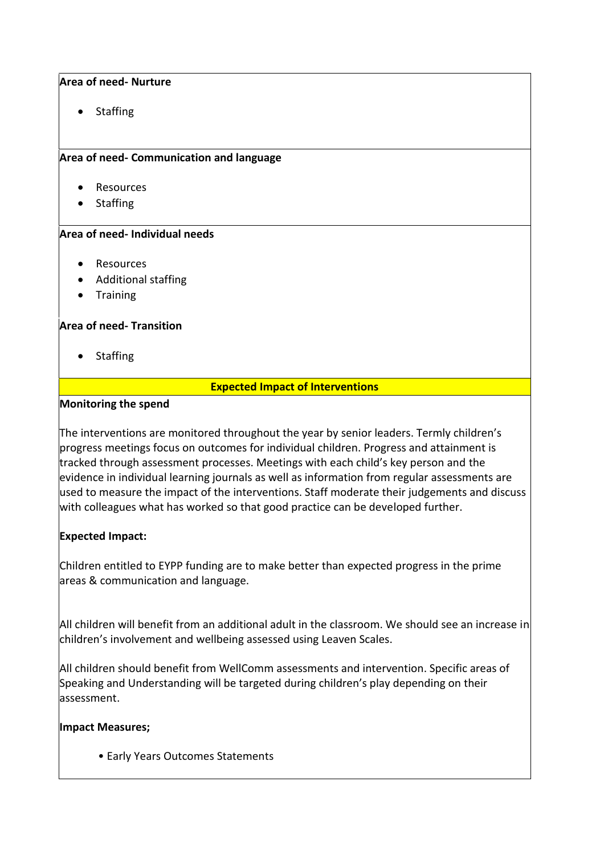## **Area of need- Nurture**

Staffing

## **Area of need- Communication and language**

- Resources
- Staffing

## **Area of need- Individual needs**

- Resources
- Additional staffing
- Training

#### **Area of need- Transition**

• Staffing

# **Expected Impact of Interventions**

#### **Monitoring the spend**

The interventions are monitored throughout the year by senior leaders. Termly children's progress meetings focus on outcomes for individual children. Progress and attainment is tracked through assessment processes. Meetings with each child's key person and the evidence in individual learning journals as well as information from regular assessments are used to measure the impact of the interventions. Staff moderate their judgements and discuss with colleagues what has worked so that good practice can be developed further.

# **Expected Impact:**

Children entitled to EYPP funding are to make better than expected progress in the prime areas & communication and language.

All children will benefit from an additional adult in the classroom. We should see an increase in children's involvement and wellbeing assessed using Leaven Scales.

All children should benefit from WellComm assessments and intervention. Specific areas of Speaking and Understanding will be targeted during children's play depending on their assessment.

#### **Impact Measures;**

• Early Years Outcomes Statements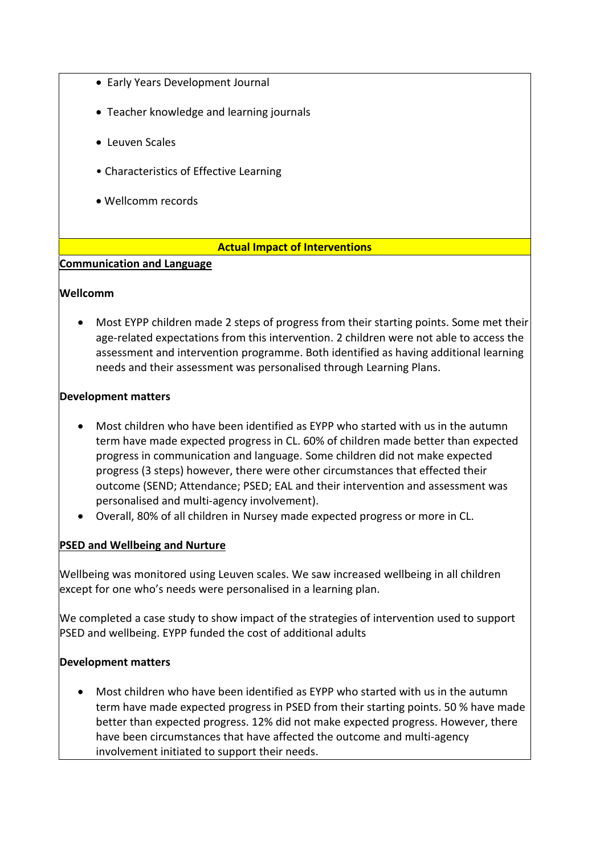- Early Years Development Journal
- Teacher knowledge and learning journals
- Leuven Scales
- Characteristics of Effective Learning
- Wellcomm records

#### **Actual Impact of Interventions**

## **Communication and Language**

#### **Wellcomm**

 Most EYPP children made 2 steps of progress from their starting points. Some met their age-related expectations from this intervention. 2 children were not able to access the assessment and intervention programme. Both identified as having additional learning needs and their assessment was personalised through Learning Plans.

#### **Development matters**

- Most children who have been identified as EYPP who started with us in the autumn term have made expected progress in CL. 60% of children made better than expected progress in communication and language. Some children did not make expected progress (3 steps) however, there were other circumstances that effected their outcome (SEND; Attendance; PSED; EAL and their intervention and assessment was personalised and multi-agency involvement).
- Overall, 80% of all children in Nursey made expected progress or more in CL.

#### **PSED and Wellbeing and Nurture**

Wellbeing was monitored using Leuven scales. We saw increased wellbeing in all children except for one who's needs were personalised in a learning plan.

We completed a case study to show impact of the strategies of intervention used to support PSED and wellbeing. EYPP funded the cost of additional adults

# **Development matters**

 Most children who have been identified as EYPP who started with us in the autumn term have made expected progress in PSED from their starting points. 50 % have made better than expected progress. 12% did not make expected progress. However, there have been circumstances that have affected the outcome and multi-agency involvement initiated to support their needs.